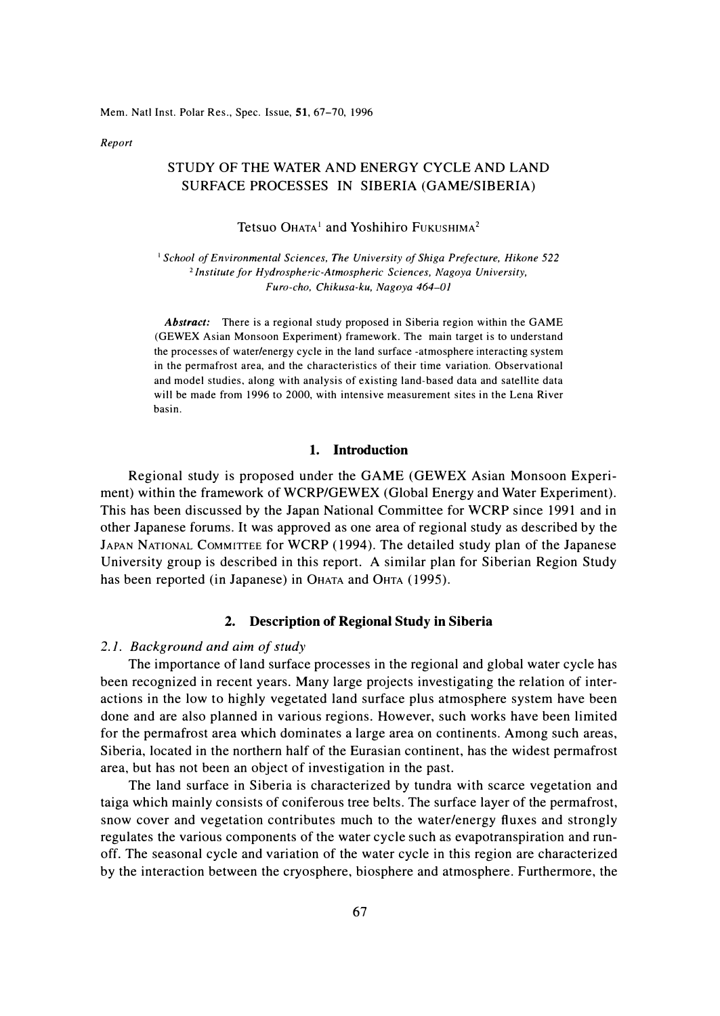Mem. Natl Inst. Polar Res., Spec. Issue, 51, 67-70, 1996

*Report* 

# STUDY OF THE WATER AND ENERGY CYCLE AND LAND SURFACE PROCESSES IN SIBERIA (GAME/SIBERIA)

Tetsuo Ohata<sup>1</sup> and Yoshihiro Fukushima<sup>2</sup>

<sup>1</sup>*School of Environmental Sciences, The University of Shiga Prefecture, Hikone 522*  <sup>2</sup>*Institute for Hydrospheric-Atmospheric Sciences, Nagoya University, Furo-cho, Chikusa-ku, Nagoya 464-01* 

*Abstract:* There is a regional study proposed in Siberia region within the GAME (GEWEX Asian Monsoon Experiment) framework. The main target is to understand the processes of water/energy cycle in the land surface -atmosphere interacting system in the permafrost area, and the characteristics of their time variation. Observational and model studies, along with analysis of existing land-based data and satellite data will be made from 1996 to 2000, with intensive measurement sites in the Lena River basin.

#### **1. Introduction**

Regional study is proposed under the GAME (GEWEX Asian Monsoon Experiment) within the framework of WCRP/GEWEX (Global Energy and Water Experiment). This has been discussed by the Japan National Committee for WCRP since 1991 and in other Japanese forums. It was approved as one area of regional study as described by the JAPAN NATIONAL COMMITTEE for WCRP (1994). The detailed study plan of the Japanese University group is described in this report. A similar plan for Siberian Region Study has been reported (in Japanese) in OHATA and OHTA (1995).

#### **2. Description of Regional Study in Siberia**

# *2.1. Background and aim of study*

The importance of land surface processes in the regional and global water cycle has been recognized in recent years. Many large projects investigating the relation of interactions in the low to highly vegetated land surface plus atmosphere system have been done and are also planned in various regions. However, such works have been limited for the permafrost area which dominates a large area on continents. Among such areas, Siberia, located in the northern half of the Eurasian continent, has the widest permafrost area, but has not been an object of investigation in the past.

The land surface in Siberia is characterized by tundra with scarce vegetation and taiga which mainly consists of coniferous tree belts. The surface layer of the permafrost, snow cover and vegetation contributes much to the water/energy fluxes and strongly regulates the various components of the water cycle such as evapotranspiration and runoff. The seasonal cycle and variation of the water cycle in this region are characterized by the interaction between the cryosphere, biosphere and atmosphere. Furthermore, the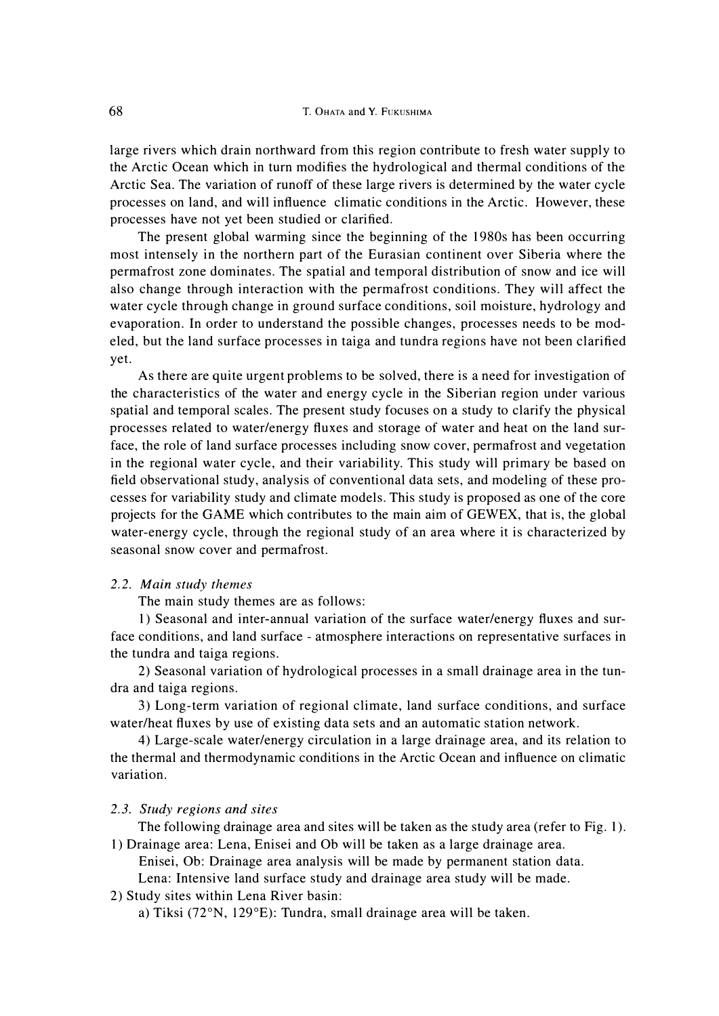large rivers which drain northward from this region contribute to fresh water supply to the Arctic Ocean which in turn modifies the hydrological and thermal conditions of the Arctic Sea. The variation of runoff of these large rivers is determined by the water cycle processes on land, and will influence climatic conditions in the Arctic. However, these processes have not yet been studied or clarified.

The present global warming since the beginning of the 1980s has been occurring most intensely in the northern part of the Eurasian continent over Siberia where the permafrost zone dominates. The spatial and temporal distribution of snow and ice will also change through interaction with the permafrost conditions. They will affect the water cycle through change in ground surface conditions, soil moisture, hydrology and evaporation. In order to understand the possible changes, processes needs to be modeled, but the land surface processes in taiga and tundra regions have not been clarified yet.

As there are quite urgent problems to be solved, there is a need for investigation of the characteristics of the water and energy cycle in the Siberian region under various spatial and temporal scales. The present study focuses on a study to clarify the physical processes related to water/energy fluxes and storage of water and heat on the land surface, the role of land surface processes including snow cover, permafrost and vegetation in the regional water cycle, and their variability. This study will primary be based on field observational study, analysis of conventional data sets, and modeling of these processes for variability study and climate models. This study is proposed as one of the core projects for the GAME which contributes to the main aim of GEWEX, that is, the global water-energy cycle, through the regional study of an area where it is characterized by seasonal snow cover and permafrost.

#### *2.2. Main study themes*

The main study themes are as follows:

1) Seasonal and inter-annual variation of the surface water/energy fluxes and surface conditions, and land surface - atmosphere interactions on representative surfaces in the tundra and taiga regions.

2) Seasonal variation of hydrological processes in a small drainage area in the tundra and taiga regions.

3) Long-term variation of regional climate, land surface conditions, and surface water/heat fluxes by use of existing data sets and an automatic station network.

4) Large-scale water/energy circulation in a large drainage area, and its relation to the thermal and thermodynamic conditions in the Arctic Ocean and influence on climatic variation.

## *2.3. Study regions and sites*

The following drainage area and sites will be taken as the study area (refer to Fig. 1). 1) Drainage area: Lena, Enisei and Ob will be taken as a large drainage area.

Enisei, Ob: Drainage area analysis will be made by permanent station data.

Lena: Intensive land surface study and drainage area study will be made.

# 2) Study sites within Lena River basin:

a) Tiksi (72°N, 129°E): Tundra, small drainage area will be taken.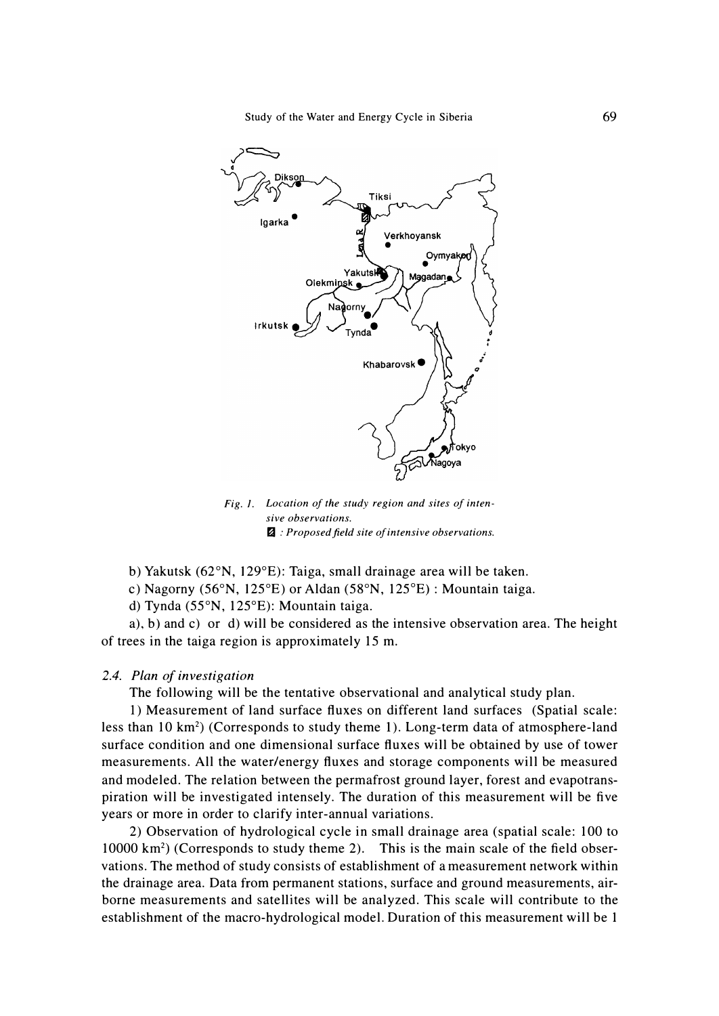

*Fig. 1. Location of the study region and sites of intensive observations. � : Proposed field site of intensive observations.* 

**b) Yakutsk (62**°**N, I 29**°**E): Taiga, small drainage area will be taken.** 

**c) Nagorny (56**°**N, I 25**°**E) or Aldan (58** °**N, 125**°**E) : Mountain taiga.** 

**d) Tynda (55**°**N, 125**°**E): Mountain taiga.** 

**a), b) and c) or d) will be considered as the intensive observation area. The height of trees in the taiga region is approximately 15 m.** 

# *2.4. Plan of investigation*

**The following will be the tentative observational and analytical study plan.** 

**1) Measurement of land surface fluxes on different land surfaces (Spatial scale: less than 10 km**<sup>2</sup> ) **(Corresponds to study theme 1). Long-term data of atmosphere-land surface condition and one dimensional surface fluxes will be obtained by use of tower measurements. All the water/energy fluxes and storage components will be measured and modeled. The relation between the permafrost ground layer, forest and evapotranspiration will be investigated intensely. The duration of this measurement will be five years or more in order to clarify inter-annual variations.** 

**2) Observation of hydrological cycle in small drainage area (spatial scale: 100 to 10000 km**<sup>2</sup> ) **(Corresponds to study theme 2). This is the main scale of the field observations. The method of study consists of establishment of a measurement network within the drainage area. Data from permanent stations, surface and ground measurements, airborne measurements and satellites will be analyzed. This scale will contribute to the establishment of the macro-hydrological model. Duration of this measurement will be 1**